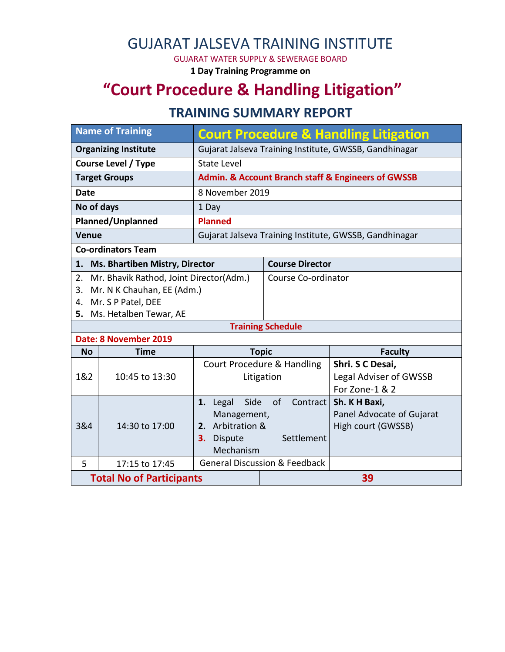## GUJARAT JALSEVA TRAINING INSTITUTE

GUJARAT WATER SUPPLY & SEWERAGE BOARD

**1 Day Training Programme on**

# **"Court Procedure & Handling Litigation"**

### **TRAINING SUMMARY REPORT**

| <b>Name of Training</b>         |                                                                                                                       | <b>Court Procedure &amp; Handling Litigation</b>                                                                    |                                          |                                                                     |  |  |  |
|---------------------------------|-----------------------------------------------------------------------------------------------------------------------|---------------------------------------------------------------------------------------------------------------------|------------------------------------------|---------------------------------------------------------------------|--|--|--|
| <b>Organizing Institute</b>     |                                                                                                                       | Gujarat Jalseva Training Institute, GWSSB, Gandhinagar                                                              |                                          |                                                                     |  |  |  |
| <b>Course Level / Type</b>      |                                                                                                                       | <b>State Level</b>                                                                                                  |                                          |                                                                     |  |  |  |
| <b>Target Groups</b>            |                                                                                                                       | <b>Admin. &amp; Account Branch staff &amp; Engineers of GWSSB</b>                                                   |                                          |                                                                     |  |  |  |
| <b>Date</b>                     |                                                                                                                       | 8 November 2019                                                                                                     |                                          |                                                                     |  |  |  |
| No of days                      |                                                                                                                       | 1 Day                                                                                                               |                                          |                                                                     |  |  |  |
| Planned/Unplanned               |                                                                                                                       | <b>Planned</b>                                                                                                      |                                          |                                                                     |  |  |  |
| <b>Venue</b>                    |                                                                                                                       | Gujarat Jalseva Training Institute, GWSSB, Gandhinagar                                                              |                                          |                                                                     |  |  |  |
| <b>Co-ordinators Team</b>       |                                                                                                                       |                                                                                                                     |                                          |                                                                     |  |  |  |
| 1.                              | <b>Ms. Bhartiben Mistry, Director</b>                                                                                 |                                                                                                                     | <b>Course Director</b>                   |                                                                     |  |  |  |
| 2.<br>3.<br>4.<br>5.            | Mr. Bhavik Rathod, Joint Director(Adm.)<br>Mr. N K Chauhan, EE (Adm.)<br>Mr. S P Patel, DEE<br>Ms. Hetalben Tewar, AE |                                                                                                                     | Course Co-ordinator                      |                                                                     |  |  |  |
| <b>Training Schedule</b>        |                                                                                                                       |                                                                                                                     |                                          |                                                                     |  |  |  |
|                                 | Date: 8 November 2019                                                                                                 |                                                                                                                     |                                          |                                                                     |  |  |  |
| <b>No</b>                       | <b>Time</b>                                                                                                           | <b>Topic</b>                                                                                                        |                                          | <b>Faculty</b>                                                      |  |  |  |
| 1&2                             | 10:45 to 13:30                                                                                                        | <b>Court Procedure &amp; Handling</b><br>Litigation                                                                 |                                          | Shri. S C Desai,<br><b>Legal Adviser of GWSSB</b><br>For Zone-1 & 2 |  |  |  |
| 3&4                             | 14:30 to 17:00                                                                                                        | Side<br>of<br>Contract  <br>1. Legal<br>Management,<br>2. Arbitration &<br>Settlement<br>Dispute<br>3.<br>Mechanism |                                          | Sh. K H Baxi,<br>Panel Advocate of Gujarat<br>High court (GWSSB)    |  |  |  |
| 5                               | 17:15 to 17:45                                                                                                        |                                                                                                                     | <b>General Discussion &amp; Feedback</b> |                                                                     |  |  |  |
| <b>Total No of Participants</b> |                                                                                                                       |                                                                                                                     | 39                                       |                                                                     |  |  |  |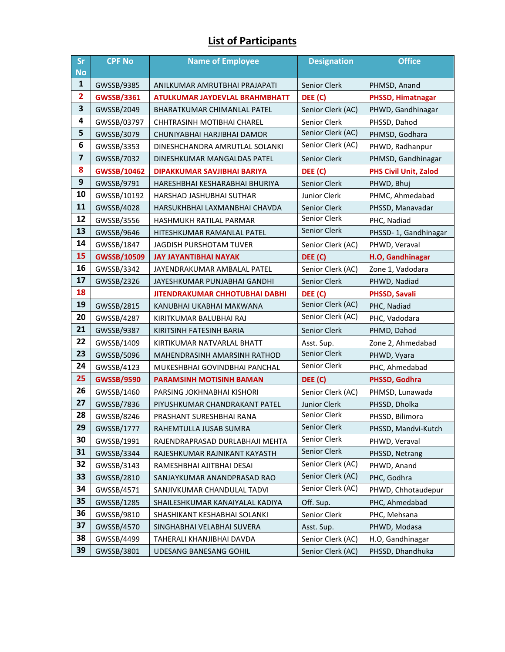#### **List of Participants**

| <b>Sr</b><br><b>No</b>  | <b>CPF No</b>      | <b>Name of Employee</b>               | <b>Designation</b> | <b>Office</b>                |
|-------------------------|--------------------|---------------------------------------|--------------------|------------------------------|
| $\mathbf{1}$            | GWSSB/9385         | ANILKUMAR AMRUTBHAI PRAJAPATI         | Senior Clerk       | PHMSD, Anand                 |
| $\overline{\mathbf{2}}$ | <b>GWSSB/3361</b>  | <b>ATULKUMAR JAYDEVLAL BRAHMBHATT</b> | DEE (C)            | PHSSD, Himatnagar            |
| 3                       | GWSSB/2049         | <b>BHARATKUMAR CHIMANLAL PATEL</b>    | Senior Clerk (AC)  | PHWD, Gandhinagar            |
| 4                       | GWSSB/03797        | CHHTRASINH MOTIBHAI CHAREL            | Senior Clerk       | PHSSD, Dahod                 |
| 5                       | GWSSB/3079         | CHUNIYABHAI HARJIBHAI DAMOR           | Senior Clerk (AC)  | PHMSD, Godhara               |
| 6                       | GWSSB/3353         | DINESHCHANDRA AMRUTLAL SOLANKI        | Senior Clerk (AC)  | PHWD, Radhanpur              |
| $\overline{\mathbf{z}}$ | GWSSB/7032         | DINESHKUMAR MANGALDAS PATEL           | Senior Clerk       | PHMSD, Gandhinagar           |
| 8                       | <b>GWSSB/10462</b> | DIPAKKUMAR SAVJIBHAI BARIYA           | DEE (C)            | <b>PHS Civil Unit, Zalod</b> |
| 9                       | GWSSB/9791         | HARESHBHAI KESHARABHAI BHURIYA        | Senior Clerk       | PHWD, Bhuj                   |
| 10                      | GWSSB/10192        | HARSHAD JASHUBHAI SUTHAR              | Junior Clerk       | PHMC, Ahmedabad              |
| 11                      | GWSSB/4028         | HARSUKHBHAI LAXMANBHAI CHAVDA         | Senior Clerk       | PHSSD, Manavadar             |
| 12                      | GWSSB/3556         | HASHMUKH RATILAL PARMAR               | Senior Clerk       | PHC, Nadiad                  |
| 13                      | GWSSB/9646         | HITESHKUMAR RAMANLAL PATEL            | Senior Clerk       | PHSSD-1, Gandhinagar         |
| 14                      | GWSSB/1847         | <b>JAGDISH PURSHOTAM TUVER</b>        | Senior Clerk (AC)  | PHWD, Veraval                |
| 15                      | <b>GWSSB/10509</b> | <b>JAY JAYANTIBHAI NAYAK</b>          | DEE (C)            | H.O, Gandhinagar             |
| 16                      | GWSSB/3342         | JAYENDRAKUMAR AMBALAL PATEL           | Senior Clerk (AC)  | Zone 1, Vadodara             |
| 17                      | GWSSB/2326         | JAYESHKUMAR PUNJABHAI GANDHI          | Senior Clerk       | PHWD, Nadiad                 |
| 18                      |                    | <b>JITENDRAKUMAR CHHOTUBHAI DABHI</b> | DEE (C)            | <b>PHSSD, Savali</b>         |
| 19                      | GWSSB/2815         | KANUBHAI UKABHAI MAKWANA              | Senior Clerk (AC)  | PHC, Nadiad                  |
| 20                      | GWSSB/4287         | KIRITKUMAR BALUBHAI RAJ               | Senior Clerk (AC)  | PHC, Vadodara                |
| 21                      | GWSSB/9387         | KIRITSINH FATESINH BARIA              | Senior Clerk       | PHMD, Dahod                  |
| 22                      | GWSSB/1409         | KIRTIKUMAR NATVARLAL BHATT            | Asst. Sup.         | Zone 2, Ahmedabad            |
| 23                      | GWSSB/5096         | MAHENDRASINH AMARSINH RATHOD          | Senior Clerk       | PHWD, Vyara                  |
| 24                      | GWSSB/4123         | MUKESHBHAI GOVINDBHAI PANCHAL         | Senior Clerk       | PHC, Ahmedabad               |
| 25                      | <b>GWSSB/9590</b>  | <b>PARAMSINH MOTISINH BAMAN</b>       | DEE (C)            | PHSSD, Godhra                |
| 26                      | GWSSB/1460         | PARSING JOKHNABHAI KISHORI            | Senior Clerk (AC)  | PHMSD, Lunawada              |
| 27                      | GWSSB/7836         | PIYUSHKUMAR CHANDRAKANT PATEL         | Junior Clerk       | PHSSD, Dholka                |
| 28                      | GWSSB/8246         | PRASHANT SURESHBHAI RANA              | Senior Clerk       | PHSSD, Bilimora              |
| 29                      | GWSSB/1777         | RAHEMTULLA JUSAB SUMRA                | Senior Clerk       | PHSSD, Mandvi-Kutch          |
| 30                      | GWSSB/1991         | RAJENDRAPRASAD DURLABHAJI MEHTA       | Senior Clerk       | PHWD, Veraval                |
| 31                      | GWSSB/3344         | RAJESHKUMAR RAJNIKANT KAYASTH         | Senior Clerk       | PHSSD, Netrang               |
| 32                      | GWSSB/3143         | RAMESHBHAI AJITBHAI DESAI             | Senior Clerk (AC)  | PHWD, Anand                  |
| 33                      | GWSSB/2810         | SANJAYKUMAR ANANDPRASAD RAO           | Senior Clerk (AC)  | PHC, Godhra                  |
| 34                      | GWSSB/4571         | SANJIVKUMAR CHANDULAL TADVI           | Senior Clerk (AC)  | PHWD, Chhotaudepur           |
| 35                      | GWSSB/1285         | SHAILESHKUMAR KANAIYALAL KADIYA       | Off. Sup.          | PHC, Ahmedabad               |
| 36                      | GWSSB/9810         | SHASHIKANT KESHABHAI SOLANKI          | Senior Clerk       | PHC, Mehsana                 |
| 37                      | GWSSB/4570         | SINGHABHAI VELABHAI SUVERA            | Asst. Sup.         | PHWD, Modasa                 |
| 38                      | GWSSB/4499         | TAHERALI KHANJIBHAI DAVDA             | Senior Clerk (AC)  | H.O, Gandhinagar             |
| 39                      | GWSSB/3801         | UDESANG BANESANG GOHIL                | Senior Clerk (AC)  | PHSSD, Dhandhuka             |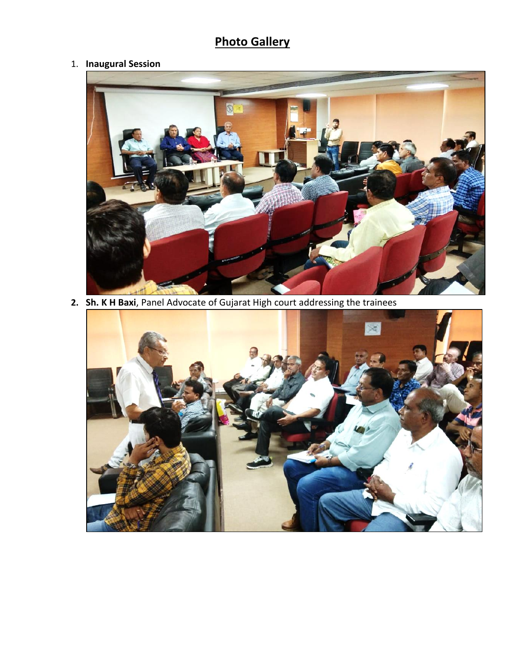## **Photo Gallery**

#### 1. **Inaugural Session**



**2. Sh. K H Baxi**, Panel Advocate of Gujarat High court addressing the trainees